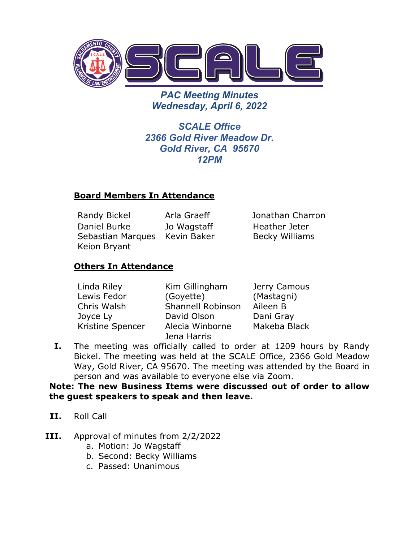

*PAC Meeting Minutes Wednesday, April 6, 2022* 

*SCALE Office 2366 Gold River Meadow Dr. Gold River, CA 95670 12PM*

## **Board Members In Attendance**

Randy Bickel Arla Graeff Jonathan Charron Daniel Burke Sebastian Marques Kevin Baker Keion Bryant Jo Wagstaff

Heather Jeter Becky Williams

# **Others In Attendance**

| Linda Riley      | Kim Gillingham    | Jerry Camous |
|------------------|-------------------|--------------|
| Lewis Fedor      | (Goyette)         | (Mastagni)   |
| Chris Walsh      | Shannell Robinson | Aileen B     |
| Joyce Ly         | David Olson       | Dani Gray    |
| Kristine Spencer | Alecia Winborne   | Makeba Black |
|                  | Jena Harris       |              |

**I.** The meeting was officially called to order at 1209 hours by Randy Bickel. The meeting was held at the SCALE Office, 2366 Gold Meadow Way, Gold River, CA 95670. The meeting was attended by the Board in person and was available to everyone else via Zoom.

## **Note: The new Business Items were discussed out of order to allow the guest speakers to speak and then leave.**

- **II.** Roll Call
- **III.** Approval of minutes from 2/2/2022
	- a. Motion: Jo Wagstaff
	- b. Second: Becky Williams
	- c. Passed: Unanimous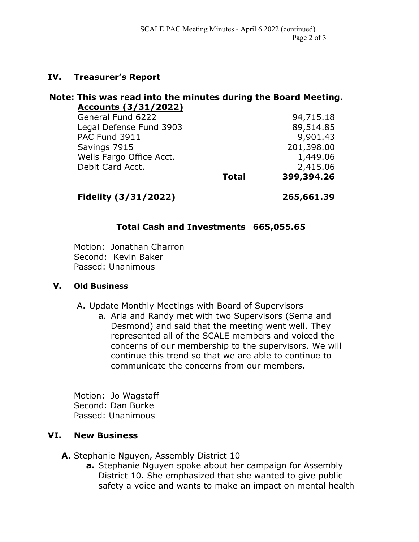## **IV. Treasurer's Report**

#### **Note: This was read into the minutes during the Board Meeting. Accounts (3/31/2022)**

| General Fund 6222        |              | 94,715.18  |
|--------------------------|--------------|------------|
| Legal Defense Fund 3903  |              | 89,514.85  |
| PAC Fund 3911            |              | 9,901.43   |
| Savings 7915             |              | 201,398.00 |
| Wells Fargo Office Acct. |              | 1,449.06   |
| Debit Card Acct.         |              | 2,415.06   |
|                          | <b>Total</b> | 399,394.26 |

# **Fidelity (3/31/2022) 265,661.39**

## **Total Cash and Investments 665,055.65**

Motion: Jonathan Charron Second: Kevin Baker Passed: Unanimous

#### **V. Old Business**

A. Update Monthly Meetings with Board of Supervisors

a. Arla and Randy met with two Supervisors (Serna and Desmond) and said that the meeting went well. They represented all of the SCALE members and voiced the concerns of our membership to the supervisors. We will continue this trend so that we are able to continue to communicate the concerns from our members.

Motion: Jo Wagstaff Second: Dan Burke Passed: Unanimous

## **VI. New Business**

**A.** Stephanie Nguyen, Assembly District 10

**a.** Stephanie Nguyen spoke about her campaign for Assembly District 10. She emphasized that she wanted to give public safety a voice and wants to make an impact on mental health